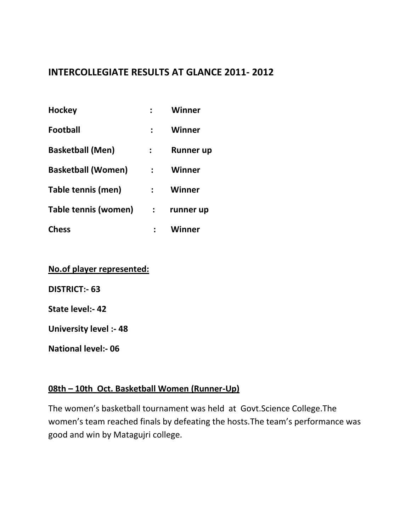### **INTERCOLLEGIATE RESULTS AT GLANCE 2011- 2012**

- **Hockey : Winner**
- **Football : Winner**
- **Basketball (Men) : Runner up**
- **Basketball (Women) : Winner**
- **Table tennis (men) : Winner**
- **Table tennis (women) : runner up**
- **Chess : Winner**

**No.of player represented:**

**DISTRICT:- 63**

**State level:- 42**

**University level :- 48**

**National level:- 06**

#### **08th – 10th Oct. Basketball Women (Runner-Up)**

The women's basketball tournament was held at Govt.Science College.The women's team reached finals by defeating the hosts.The team's performance was good and win by Matagujri college.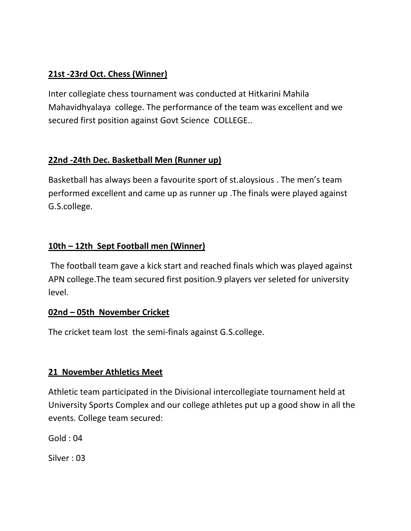#### **21st -23rd Oct. Chess (Winner)**

Inter collegiate chess tournament was conducted at Hitkarini Mahila Mahavidhyalaya college. The performance of the team was excellent and we secured first position against Govt Science COLLEGE..

#### **22nd -24th Dec. Basketball Men (Runner up)**

Basketball has always been a favourite sport of st.aloysious . The men's team performed excellent and came up as runner up .The finals were played against G.S.college.

#### **10th – 12th Sept Football men (Winner)**

The football team gave a kick start and reached finals which was played against APN college.The team secured first position.9 players ver seleted for university level.

#### **02nd – 05th November Cricket**

The cricket team lost the semi-finals against G.S.college.

#### **21 November Athletics Meet**

Athletic team participated in the Divisional intercollegiate tournament held at University Sports Complex and our college athletes put up a good show in all the events. College team secured:

Gold : 04

Silver : 03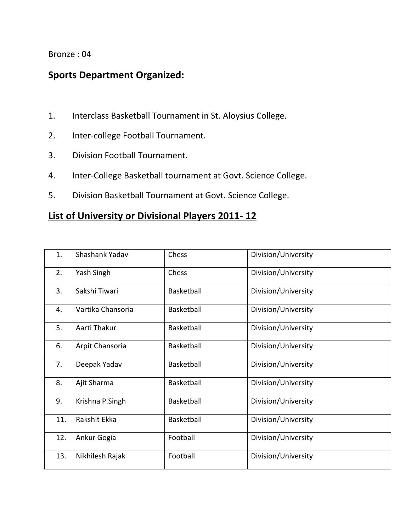#### Bronze : 04

### **Sports Department Organized:**

- 1. Interclass Basketball Tournament in St. Aloysius College.
- 2. Inter-college Football Tournament.
- 3. Division Football Tournament.
- 4. Inter-College Basketball tournament at Govt. Science College.
- 5. Division Basketball Tournament at Govt. Science College.

#### **List of University or Divisional Players 2011- 12**

| 1.  | Shashank Yadav    | Chess      | Division/University |
|-----|-------------------|------------|---------------------|
| 2.  | Yash Singh        | Chess      | Division/University |
| 3.  | Sakshi Tiwari     | Basketball | Division/University |
| 4.  | Vartika Chansoria | Basketball | Division/University |
| 5.  | Aarti Thakur      | Basketball | Division/University |
| 6.  | Arpit Chansoria   | Basketball | Division/University |
| 7.  | Deepak Yadav      | Basketball | Division/University |
| 8.  | Ajit Sharma       | Basketball | Division/University |
| 9.  | Krishna P.Singh   | Basketball | Division/University |
| 11. | Rakshit Ekka      | Basketball | Division/University |
| 12. | Ankur Gogia       | Football   | Division/University |
| 13. | Nikhilesh Rajak   | Football   | Division/University |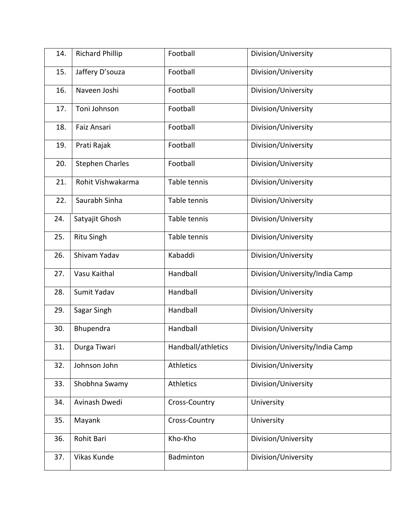| 14. | <b>Richard Phillip</b> | Football           | Division/University            |
|-----|------------------------|--------------------|--------------------------------|
| 15. | Jaffery D'souza        | Football           | Division/University            |
| 16. | Naveen Joshi           | Football           | Division/University            |
| 17. | Toni Johnson           | Football           | Division/University            |
| 18. | Faiz Ansari            | Football           | Division/University            |
| 19. | Prati Rajak            | Football           | Division/University            |
| 20. | <b>Stephen Charles</b> | Football           | Division/University            |
| 21. | Rohit Vishwakarma      | Table tennis       | Division/University            |
| 22. | Saurabh Sinha          | Table tennis       | Division/University            |
| 24. | Satyajit Ghosh         | Table tennis       | Division/University            |
| 25. | <b>Ritu Singh</b>      | Table tennis       | Division/University            |
| 26. | Shivam Yadav           | Kabaddi            | Division/University            |
| 27. | Vasu Kaithal           | Handball           | Division/University/India Camp |
| 28. | Sumit Yadav            | Handball           | Division/University            |
| 29. | Sagar Singh            | Handball           | Division/University            |
| 30. | Bhupendra              | Handball           | Division/University            |
| 31. | Durga Tiwari           | Handball/athletics | Division/University/India Camp |
| 32. | Johnson John           | Athletics          | Division/University            |
| 33. | Shobhna Swamy          | Athletics          | Division/University            |
| 34. | Avinash Dwedi          | Cross-Country      | University                     |
| 35. | Mayank                 | Cross-Country      | University                     |
| 36. | Rohit Bari             | Kho-Kho            | Division/University            |
| 37. | Vikas Kunde            | Badminton          | Division/University            |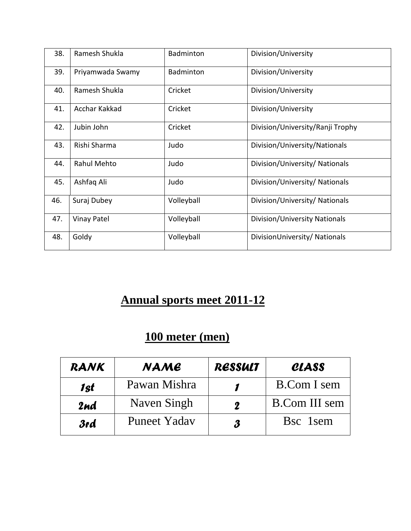| 38. | Ramesh Shukla      | <b>Badminton</b> | Division/University              |
|-----|--------------------|------------------|----------------------------------|
| 39. | Priyamwada Swamy   | <b>Badminton</b> | Division/University              |
| 40. | Ramesh Shukla      | Cricket          | Division/University              |
| 41. | Acchar Kakkad      | Cricket          | Division/University              |
| 42. | Jubin John         | Cricket          | Division/University/Ranji Trophy |
| 43. | Rishi Sharma       | Judo             | Division/University/Nationals    |
| 44. | <b>Rahul Mehto</b> | Judo             | Division/University/ Nationals   |
| 45. | Ashfaq Ali         | Judo             | Division/University/ Nationals   |
| 46. | Suraj Dubey        | Volleyball       | Division/University/ Nationals   |
| 47. | Vinay Patel        | Volleyball       | Division/University Nationals    |
| 48. | Goldy              | Volleyball       | DivisionUniversity/ Nationals    |

# **Annual sports meet 2011-12**

# **100 meter (men)**

| <b>RANK</b> | NAME                | <b>RESSULT</b> | <b>CLASS</b>         |
|-------------|---------------------|----------------|----------------------|
| 1st         | Pawan Mishra        |                | <b>B.Com I sem</b>   |
| 2nd         | Naven Singh         | 9              | <b>B.Com III sem</b> |
| 3rd         | <b>Puneet Yaday</b> |                | Bsc 1sem             |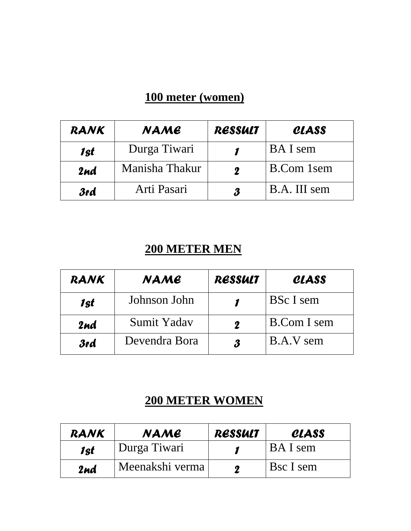### **100 meter (women)**

| <b>RANK</b> | NAME           | <b>RESSULT</b> | <b>CLASS</b>      |
|-------------|----------------|----------------|-------------------|
| 1st         | Durga Tiwari   |                | BA I sem          |
| 2nd         | Manisha Thakur |                | <b>B.Com</b> 1sem |
| 3rd         | Arti Pasari    |                | B.A. III sem      |

### **200 METER MEN**

| <b>RANK</b> | NAME          | <b>RESSULT</b> | <b>CLASS</b>       |
|-------------|---------------|----------------|--------------------|
| 1st         | Johnson John  |                | <b>BSc I sem</b>   |
| 2nd         | Sumit Yadav   |                | <b>B.Com I sem</b> |
| 3rd         | Devendra Bora |                | B.A.V sem          |

# **200 METER WOMEN**

| <b>RANK</b> | NAME            | <b>RESSULT</b> | <i><b>CLASS</b></i> |
|-------------|-----------------|----------------|---------------------|
| 1st         | Durga Tiwari    |                | <b>BAI</b> sem      |
| 2nd         | Meenakshi verma |                | Bsc I sem           |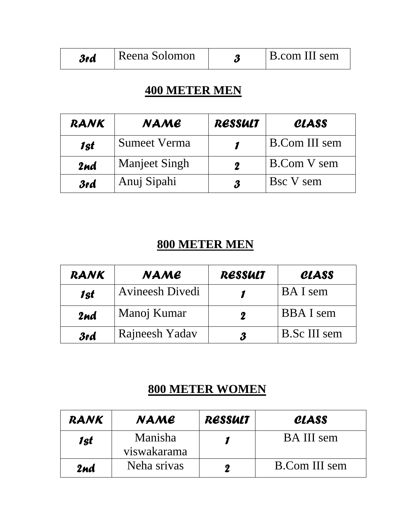| B.com III sem<br>Reena Solomon<br>3rd |
|---------------------------------------|
|---------------------------------------|

### **400 METER MEN**

| <b>RANK</b> | NAME                 | <b>RESSULT</b> | <i><b>CLASS</b></i>  |
|-------------|----------------------|----------------|----------------------|
| 1st         | <b>Sumeet Verma</b>  |                | <b>B.Com III sem</b> |
| 2nd         | <b>Manjeet Singh</b> | 9              | <b>B.Com V sem</b>   |
| 3rd         | Anuj Sipahi          |                | Bsc V sem            |

### **800 METER MEN**

| <b>RANK</b> | NAME                   | <b>RESSULT</b> | <b>CLASS</b>        |
|-------------|------------------------|----------------|---------------------|
| 1st         | <b>Avineesh Divedi</b> |                | <b>BAI</b> sem      |
| 2nd         | Manoj Kumar            |                | <b>BBA</b> I sem    |
| 3rd         | Rajneesh Yadav         |                | <b>B.Sc III sem</b> |

## **800 METER WOMEN**

| <b>RANK</b> | NAME                   | <b>RESSULT</b> | <b>CLASS</b>      |
|-------------|------------------------|----------------|-------------------|
| 1st         | Manisha<br>viswakarama |                | <b>BA III sem</b> |
| 2nd         | Neha srivas            |                | B.Com III sem     |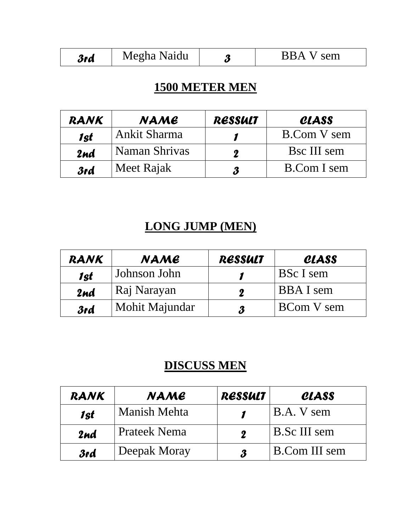| 3rd | Megha Naidu |  | <b>BBA</b><br>sem<br>v |  |
|-----|-------------|--|------------------------|--|
|-----|-------------|--|------------------------|--|

## **1500 METER MEN**

| <b>RANK</b> | NAME                | <b>RESSULT</b> | <b>CLASS</b>        |
|-------------|---------------------|----------------|---------------------|
| 1st         | <b>Ankit Sharma</b> |                | <b>B.Com V sem</b>  |
| 2nd         | Naman Shriyas       |                | <b>B</b> sc III sem |
| 3rd         | Meet Rajak          |                | B.Com I sem         |

## **LONG JUMP (MEN)**

| <b>RANK</b> | NAME           | <b>RESSULT</b> | <b>CLASS</b>      |
|-------------|----------------|----------------|-------------------|
| 1st         | Johnson John   |                | <b>BSc</b> I sem  |
| 2nd         | Raj Narayan    |                | <b>BBAI</b> sem   |
| 3rd         | Mohit Majundar | 3              | <b>BCom V</b> sem |

### **DISCUSS MEN**

| <b>RANK</b> | NAME                | <b>RESSULT</b> | CLASS         |
|-------------|---------------------|----------------|---------------|
| 1st         | Manish Mehta        |                | B.A. V sem    |
| 2nd         | <b>Prateek Nema</b> |                | B.Sc III sem  |
| 3rd         | Deepak Moray        |                | B.Com III sem |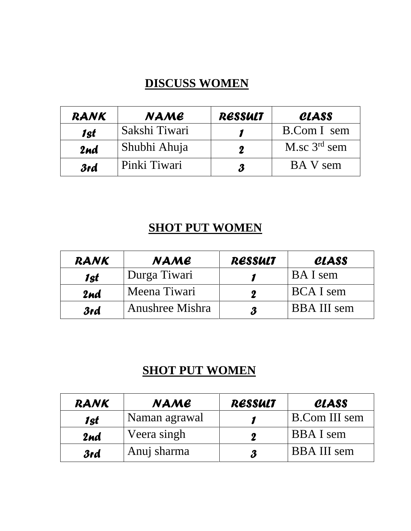# **DISCUSS WOMEN**

| <b>RANK</b> | NAME          | <b>RESSULT</b> | <b>CLASS</b>         |
|-------------|---------------|----------------|----------------------|
| 1st         | Sakshi Tiwari |                | <b>B.Com I</b> sem   |
| 2nd         | Shubhi Ahuja  |                | $M$ .sc $3^{rd}$ sem |
| 3rd         | Pinki Tiwari  |                | BA V sem             |

## **SHOT PUT WOMEN**

| <b>RANK</b> | NAME            | <b>RESSULT</b> | <b>CLASS</b>       |
|-------------|-----------------|----------------|--------------------|
| 1st         | 'Durga Tiwari   |                | <b>BAI</b> sem     |
| 2nd         | Meena Tiwari    |                | <b>BCA I sem</b>   |
| 3rd         | Anushree Mishra |                | <b>BBA III</b> sem |

### **SHOT PUT WOMEN**

| <b>RANK</b> | NAME          | <b>RESSULT</b> | <b>CLASS</b>         |
|-------------|---------------|----------------|----------------------|
| 1st         | Naman agrawal |                | <b>B.Com III sem</b> |
| 2nd         | Veera singh   |                | <b>BBA</b> I sem     |
| 3rd         | Anuj sharma   |                | <b>BBA III sem</b>   |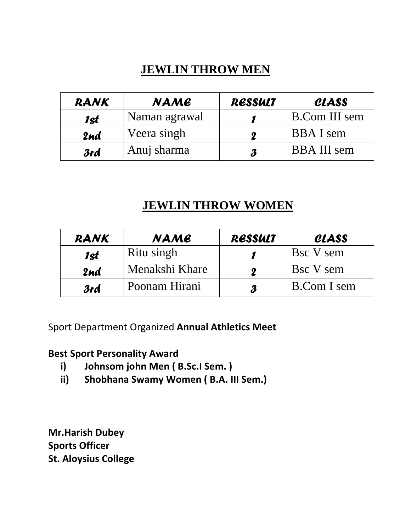### **JEWLIN THROW MEN**

| <b>RANK</b> | NAME          | <b>RESSULT</b> | <b>CLASS</b>         |
|-------------|---------------|----------------|----------------------|
| 1st         | Naman agrawal |                | <b>B.Com III sem</b> |
| 2nd         | Veera singh   |                | <b>BBAI</b> sem      |
| 3rd         | Anuj sharma   |                | <b>BBA III</b> sem   |

### **JEWLIN THROW WOMEN**

| <b>RANK</b> | NAME           | <b>RESSULT</b> | <b>CLASS</b>       |
|-------------|----------------|----------------|--------------------|
| 1st         | Ritu singh     |                | Bsc V sem          |
| 2nd         | Menakshi Khare |                | Bsc V sem          |
| 3rd         | Poonam Hirani  |                | <b>B.Com I sem</b> |

Sport Department Organized **Annual Athletics Meet**

### **Best Sport Personality Award**

- **i) Johnsom john Men ( B.Sc.I Sem. )**
- **ii) Shobhana Swamy Women ( B.A. III Sem.)**

**Mr.Harish Dubey Sports Officer St. Aloysius College**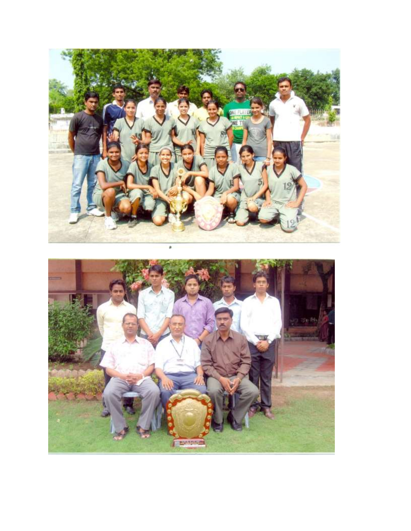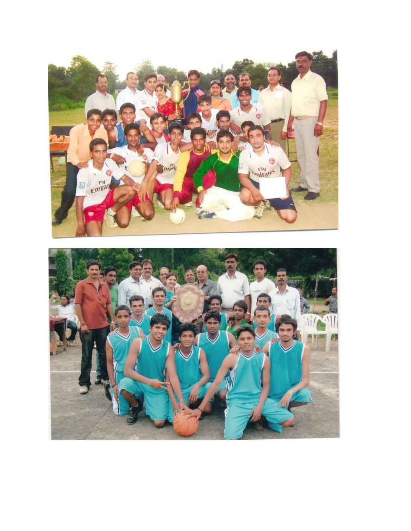